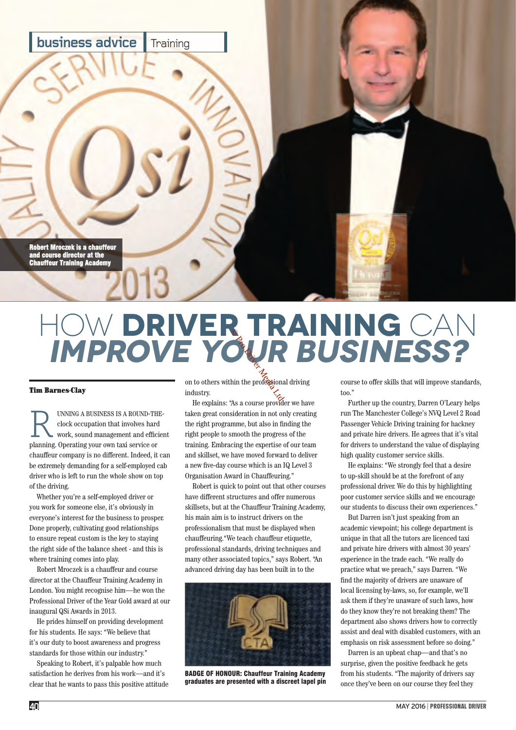

## How **Driver Training** Can **Improve Your Business? Corp.**<br>But the professional

## Tim Barnes-Clay

UNNING A BUSINESS IS A ROUND-THEclock occupation that involves hard work, sound management and efficient planning. Operating your own taxi service or chauffeur company is no different. Indeed, it can be extremely demanding for a self-employed cab driver who is left to run the whole show on top of the driving.

Whether you're a self-employed driver or you work for someone else, it's obviously in everyone's interest for the business to prosper. Done properly, cultivating good relationships to ensure repeat custom is the key to staying the right side of the balance sheet - and this is where training comes into play.

Robert Mroczek is a chauffeur and course director at the Chauffeur Training Academy in London. You might recognise him—he won the Professional Driver of the Year Gold award at our inaugural QSi Awards in 2013.

He prides himself on providing development for his students. He says: "We believe that it's our duty to boost awareness and progress standards for those within our industry."

Speaking to Robert, it's palpable how much satisfaction he derives from his work—and it's clear that he wants to pass this positive attitude

on to others within the professional driving industry.

He explains: "As a course provider we have taken great consideration in not only creating the right programme, but also in finding the right people to smooth the progress of the training. Embracing the expertise of our team and skillset, we have moved forward to deliver a new five-day course which is an IQ Level 3 Organisation Award in Chauffeuring."

Robert is quick to point out that other courses have different structures and offer numerous skillsets, but at the Chauffeur Training Academy, his main aim is to instruct drivers on the professionalism that must be displayed when chauffeuring."We teach chauffeur etiquette, professional standards, driving techniques and many other associated topics," says Robert. "An advanced driving day has been built in to the



BADGE OF HONOUR: Chauffeur Training Academy graduates are presented with a discreet lapel pin

course to offer skills that will improve standards, too."

Further up the country, Darren O'Leary helps run The Manchester College's NVQ Level 2 Road Passenger Vehicle Driving training for hackney and private hire drivers. He agrees that it's vital for drivers to understand the value of displaying high quality customer service skills.

He explains: "We strongly feel that a desire to up-skill should be at the forefront of any professional driver. We do this by highlighting poor customer service skills and we encourage our students to discuss their own experiences."

But Darren isn't just speaking from an academic viewpoint; his college department is unique in that all the tutors are licenced taxi and private hire drivers with almost 30 years' experience in the trade each. "We really do practice what we preach," says Darren. "We find the majority of drivers are unaware of local licensing by-laws, so, for example, we'll ask them if they're unaware of such laws, how do they know they're not breaking them? The department also shows drivers how to correctly assist and deal with disabled customers, with an emphasis on risk assessment before so doing."

Darren is an upbeat chap—and that's no surprise, given the positive feedback he gets from his students. "The majority of drivers say once they've been on our course they feel they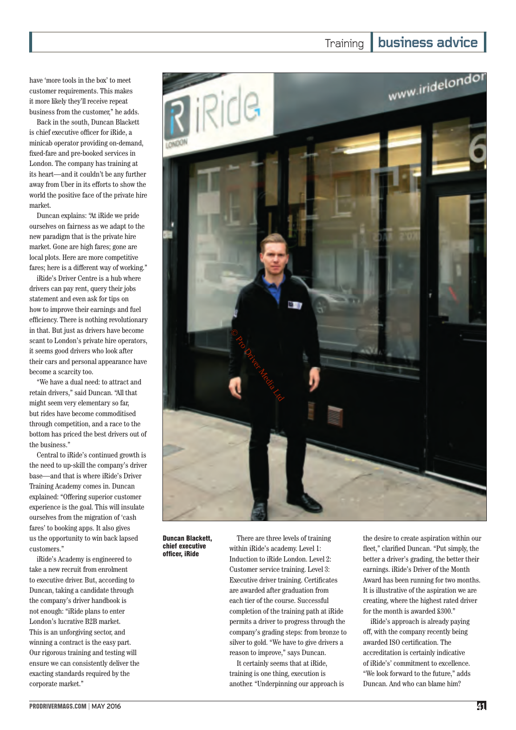have 'more tools in the box' to meet customer requirements. This makes it more likely they'll receive repeat business from the customer," he adds.

Back in the south, Duncan Blackett is chief executive officer for iRide, a minicab operator providing on-demand, fixed-fare and pre-booked services in London. The company has training at its heart—and it couldn't be any further away from Uber in its efforts to show the world the positive face of the private hire market.

Duncan explains: "At iRide we pride ourselves on fairness as we adapt to the new paradigm that is the private hire market. Gone are high fares; gone are local plots. Here are more competitive fares; here is a different way of working."

iRide's Driver Centre is a hub where drivers can pay rent, query their jobs statement and even ask for tips on how to improve their earnings and fuel efficiency. There is nothing revolutionary in that. But just as drivers have become scant to London's private hire operators, it seems good drivers who look after their cars and personal appearance have become a scarcity too.

"We have a dual need: to attract and retain drivers," said Duncan. "All that might seem very elementary so far, but rides have become commoditised through competition, and a race to the bottom has priced the best drivers out of the business."

Central to iRide's continued growth is the need to up-skill the company's driver base—and that is where iRide's Driver Training Academy comes in. Duncan explained: "Offering superior customer experience is the goal. This will insulate ourselves from the migration of 'cash fares' to booking apps. It also gives us the opportunity to win back lapsed customers."

iRide's Academy is engineered to take a new recruit from enrolment to executive driver. But, according to Duncan, taking a candidate through the company's driver handbook is not enough: "iRide plans to enter London's lucrative B2B market. This is an unforgiving sector, and winning a contract is the easy part. Our rigorous training and testing will ensure we can consistently deliver the exacting standards required by the corporate market."

Duncan Blackett, chief executive officer, iRide

within iRide's academy. Level 1: Induction to iRide London. Level 2: Customer service training. Level 3: Executive driver training. Certificates are awarded after graduation from each tier of the course. Successful completion of the training path at iRide permits a driver to progress through the company's grading steps: from bronze to silver to gold. "We have to give drivers a reason to improve," says Duncan.

It certainly seems that at iRide, training is one thing, execution is another. "Underpinning our approach is the desire to create aspiration within our fleet," clarified Duncan. "Put simply, the better a driver's grading, the better their earnings. iRide's Driver of the Month Award has been running for two months. It is illustrative of the aspiration we are creating, where the highest rated driver for the month is awarded £300."

iRide's approach is already paying off, with the company recently being awarded ISO certification. The accreditation is certainly indicative of iRide's' commitment to excellence. "We look forward to the future," adds Duncan. And who can blame him?